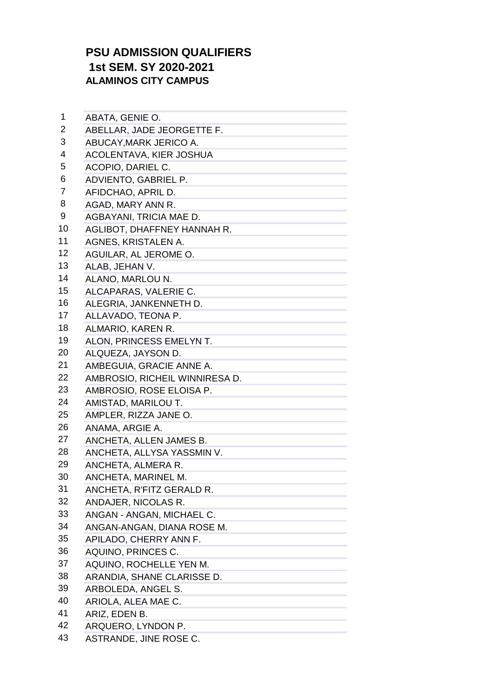## **PSU ADMISSION QUALIFIERS 1st SEM. SY 2020-2021 ALAMINOS CITY CAMPUS**

| 1  | ABATA, GENIE O.                |
|----|--------------------------------|
| 2  | ABELLAR, JADE JEORGETTE F.     |
| 3  | ABUCAY, MARK JERICO A.         |
| 4  | ACOLENTAVA, KIER JOSHUA        |
| 5  | ACOPIO, DARIEL C.              |
| 6  | ADVIENTO, GABRIEL P.           |
| 7  | AFIDCHAO, APRIL D.             |
| 8  | AGAD, MARY ANN R.              |
| 9  | AGBAYANI, TRICIA MAE D.        |
| 10 | AGLIBOT, DHAFFNEY HANNAH R.    |
| 11 | AGNES, KRISTALEN A.            |
| 12 | AGUILAR, AL JEROME O.          |
| 13 | ALAB, JEHAN V.                 |
| 14 | ALANO, MARLOU N.               |
| 15 | ALCAPARAS, VALERIE C.          |
| 16 | ALEGRIA, JANKENNETH D.         |
| 17 | ALLAVADO, TEONA P.             |
| 18 | ALMARIO, KAREN R.              |
| 19 | ALON, PRINCESS EMELYN T.       |
| 20 | ALQUEZA, JAYSON D.             |
| 21 | AMBEGUIA, GRACIE ANNE A.       |
| 22 | AMBROSIO, RICHEIL WINNIRESA D. |
| 23 | AMBROSIO, ROSE ELOISA P.       |
| 24 | AMISTAD, MARILOU T.            |
| 25 | AMPLER, RIZZA JANE O.          |
| 26 | ANAMA, ARGIE A.                |
| 27 | ANCHETA, ALLEN JAMES B.        |
| 28 | ANCHETA, ALLYSA YASSMIN V.     |
| 29 | ANCHETA, ALMERA R.             |
| 30 | ANCHETA, MARINEL M.            |
| 31 | ANCHETA, R'FITZ GERALD R.      |
| 32 | ANDAJER, NICOLAS R.            |
| 33 | ANGAN - ANGAN, MICHAEL C.      |
| 34 | ANGAN-ANGAN, DIANA ROSE M.     |
| 35 | APILADO, CHERRY ANN F.         |
| 36 | AQUINO, PRINCES C.             |
| 37 | AQUINO, ROCHELLE YEN M.        |
| 38 | ARANDIA, SHANE CLARISSE D.     |
| 39 | ARBOLEDA, ANGEL S.             |
| 40 | ARIOLA, ALEA MAE C.            |
| 41 | ARIZ, EDEN B.                  |
| 42 | ARQUERO, LYNDON P.             |
| 43 | ASTRANDE, JINE ROSE C.         |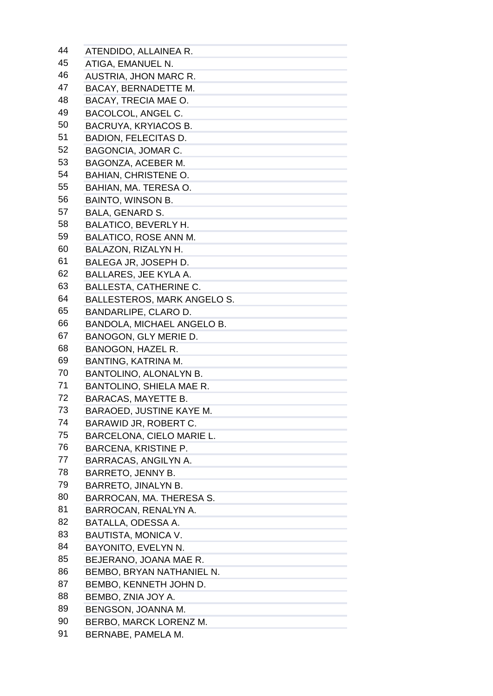| 44 | ATENDIDO, ALLAINEA R.                                                             |
|----|-----------------------------------------------------------------------------------|
| 45 | ATIGA, EMANUEL N.                                                                 |
| 46 | <b>AUSTRIA, JHON MARC R.</b>                                                      |
| 47 | BACAY, BERNADETTE M.                                                              |
| 48 | BACAY, TRECIA MAE O.                                                              |
| 49 | <b>BACOLCOL, ANGEL C.</b>                                                         |
| 50 | BACRUYA, KRYIACOS B.                                                              |
| 51 | <b>BADION, FELECITAS D.</b>                                                       |
| 52 | BAGONCIA, JOMAR C.                                                                |
| 53 | BAGONZA, ACEBER M.                                                                |
| 54 | <b>BAHIAN, CHRISTENE O.</b>                                                       |
| 55 | BAHIAN, MA. TERESA O.                                                             |
| 56 | <b>BAINTO, WINSON B.</b>                                                          |
| 57 | <b>BALA, GENARD S.</b>                                                            |
| 58 | <b>BALATICO, BEVERLY H.</b>                                                       |
| 59 | BALATICO, ROSE ANN M.                                                             |
| 60 | BALAZON, RIZALYN H.                                                               |
| 61 | BALEGA JR, JOSEPH D.                                                              |
| 62 | BALLARES, JEE KYLA A.                                                             |
| 63 | <b>BALLESTA, CATHERINE C.</b>                                                     |
| 64 | <b>BALLESTEROS, MARK ANGELO S.</b>                                                |
| 65 | BANDARLIPE, CLARO D.                                                              |
| 66 | BANDOLA, MICHAEL ANGELO B.                                                        |
| 67 | BANOGON, GLY MERIE D.                                                             |
| 68 | <b>BANOGON, HAZEL R.</b>                                                          |
| 69 | BANTING, KATRINA M.                                                               |
| 70 | BANTOLINO, ALONALYN B.                                                            |
| 71 | BANTOLINO, SHIELA MAE R.                                                          |
| 72 | <b>BARACAS, MAYETTE B.</b>                                                        |
| 73 | BARAOED, JUSTINE KAYE M.                                                          |
| 74 | BARAWID JR, ROBERT C.                                                             |
| 75 | BARCELONA, CIELO MARIE L.                                                         |
| 76 | <b>BARCENA, KRISTINE P.</b>                                                       |
| 77 | BARRACAS, ANGILYN A.                                                              |
| 78 | the control of the control of the control of<br>BARRETO, JENNY B.                 |
| 79 | <b>BARRETO, JINALYN B.</b>                                                        |
| 80 | BARROCAN, MA. THERESA S.                                                          |
| 81 | BARROCAN, RENALYN A.                                                              |
| 82 | the control of the control of the control of the control of<br>BATALLA, ODESSA A. |
| 83 | the control of the control of the control of the<br>BAUTISTA, MONICA V.           |
| 84 |                                                                                   |
| 85 | BAYONITO, EVELYN N.<br>BEJERANO, JOANA MAE R.                                     |
| 86 |                                                                                   |
| 87 | BEMBO, BRYAN NATHANIEL N.                                                         |
| 88 | BEMBO, KENNETH JOHN D.                                                            |
| 89 | BEMBO, ZNIA JOY A.<br>the control of the control of the control of                |
| 90 | BENGSON, JOANNA M.                                                                |
| 91 | BERBO, MARCK LORENZ M.                                                            |
|    | BERNABE, PAMELA M.                                                                |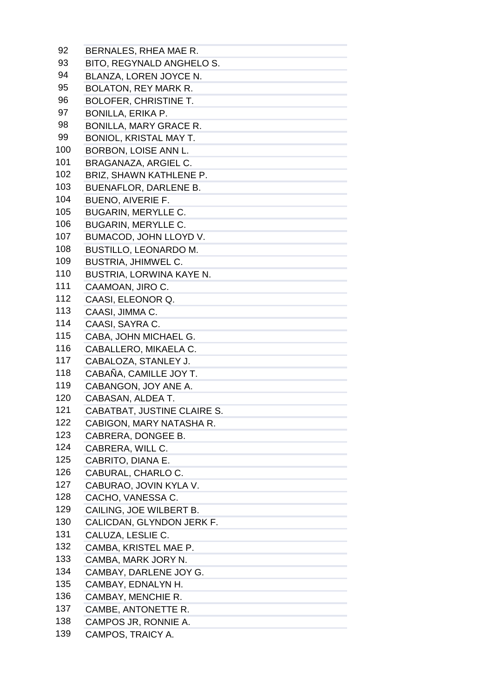| 92  | BERNALES, RHEA MAE R.                                                                                                                                                                                                               |
|-----|-------------------------------------------------------------------------------------------------------------------------------------------------------------------------------------------------------------------------------------|
| 93  | BITO, REGYNALD ANGHELO S.                                                                                                                                                                                                           |
| 94  | BLANZA, LOREN JOYCE N.                                                                                                                                                                                                              |
| 95  | <b>BOLATON, REY MARK R.</b>                                                                                                                                                                                                         |
| 96  | <b>BOLOFER, CHRISTINE T.</b>                                                                                                                                                                                                        |
| 97  | <b>BONILLA, ERIKA P.</b>                                                                                                                                                                                                            |
| 98  | <b>BONILLA, MARY GRACE R.</b>                                                                                                                                                                                                       |
| 99  | <b>BONIOL, KRISTAL MAY T.</b>                                                                                                                                                                                                       |
| 100 | <b>BORBON, LOISE ANN L.</b>                                                                                                                                                                                                         |
| 101 | BRAGANAZA, ARGIEL C.                                                                                                                                                                                                                |
| 102 | BRIZ, SHAWN KATHLENE P.                                                                                                                                                                                                             |
| 103 | <b>BUENAFLOR, DARLENE B.</b>                                                                                                                                                                                                        |
| 104 | <b>BUENO, AIVERIE F.</b>                                                                                                                                                                                                            |
| 105 |                                                                                                                                                                                                                                     |
| 106 | <b>BUGARIN, MERYLLE C.</b>                                                                                                                                                                                                          |
|     | <b>BUGARIN, MERYLLE C.</b>                                                                                                                                                                                                          |
| 107 | BUMACOD, JOHN LLOYD V.                                                                                                                                                                                                              |
| 108 | <b>BUSTILLO, LEONARDO M.</b>                                                                                                                                                                                                        |
| 109 | <b>BUSTRIA, JHIMWEL C.</b>                                                                                                                                                                                                          |
| 110 | BUSTRIA, LORWINA KAYE N.                                                                                                                                                                                                            |
| 111 | CAAMOAN, JIRO C.                                                                                                                                                                                                                    |
| 112 | CAASI, ELEONOR Q.                                                                                                                                                                                                                   |
| 113 | CAASI, JIMMA C.                                                                                                                                                                                                                     |
| 114 | CAASI, SAYRA C.                                                                                                                                                                                                                     |
| 115 | CABA, JOHN MICHAEL G.                                                                                                                                                                                                               |
| 116 | CABALLERO, MIKAELA C.                                                                                                                                                                                                               |
| 117 | CABALOZA, STANLEY J.                                                                                                                                                                                                                |
| 118 | CABAÑA, CAMILLE JOY T.                                                                                                                                                                                                              |
| 119 | CABANGON, JOY ANE A.                                                                                                                                                                                                                |
| 120 | CABASAN, ALDEA T.                                                                                                                                                                                                                   |
| 121 | CABATBAT, JUSTINE CLAIRE S.                                                                                                                                                                                                         |
| 122 | CABIGON, MARY NATASHA R.                                                                                                                                                                                                            |
| 123 | CABRERA, DONGEE B.                                                                                                                                                                                                                  |
| 124 | CABRERA, WILL C.                                                                                                                                                                                                                    |
| 125 | CABRITO, DIANA E.<br>the control of the control of the control of the control of                                                                                                                                                    |
| 126 | CABURAL, CHARLO C.<br>the control of the control of the control of the control of                                                                                                                                                   |
| 127 | CABURAO, JOVIN KYLA V.<br>the control of the control of the control of the                                                                                                                                                          |
| 128 | CACHO, VANESSA C.<br>the control of the control of the control of the control of                                                                                                                                                    |
| 129 | CAILING, JOE WILBERT B.                                                                                                                                                                                                             |
| 130 | CALICDAN, GLYNDON JERK F.                                                                                                                                                                                                           |
| 131 | CALUZA, LESLIE C.                                                                                                                                                                                                                   |
| 132 | the control of the control of the control of<br>CAMBA, KRISTEL MAE P.<br>$\mathcal{L}(\mathcal{L}(\mathcal{L}))$ and $\mathcal{L}(\mathcal{L}(\mathcal{L}))$ and $\mathcal{L}(\mathcal{L}(\mathcal{L}))$ . Then the contribution of |
| 133 | CAMBA, MARK JORY N.                                                                                                                                                                                                                 |
| 134 | the control of the control of the control of the control of<br>CAMBAY, DARLENE JOY G.                                                                                                                                               |
| 135 | CAMBAY, EDNALYN H.                                                                                                                                                                                                                  |
| 136 | and the control of the control of the control of<br>CAMBAY, MENCHIE R.                                                                                                                                                              |
| 137 | the control of the control of the control of the<br>CAMBE, ANTONETTE R.                                                                                                                                                             |
| 138 | the control of the control of the control of the control of<br>CAMPOS JR, RONNIE A.                                                                                                                                                 |
| 139 | CAMPOS, TRAICY A.                                                                                                                                                                                                                   |
|     |                                                                                                                                                                                                                                     |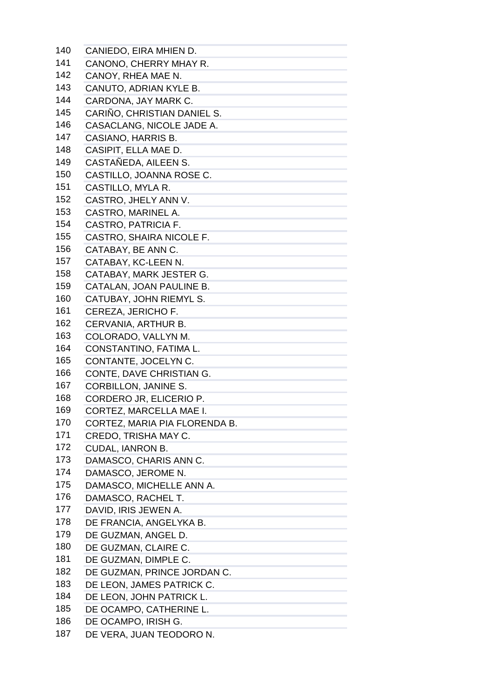| 140 | CANIEDO, EIRA MHIEN D.                                                                                                                                                                                                                                                                                                                                                                                                                                                             |
|-----|------------------------------------------------------------------------------------------------------------------------------------------------------------------------------------------------------------------------------------------------------------------------------------------------------------------------------------------------------------------------------------------------------------------------------------------------------------------------------------|
| 141 | CANONO, CHERRY MHAY R.                                                                                                                                                                                                                                                                                                                                                                                                                                                             |
| 142 | CANOY, RHEA MAE N.                                                                                                                                                                                                                                                                                                                                                                                                                                                                 |
| 143 | CANUTO, ADRIAN KYLE B.                                                                                                                                                                                                                                                                                                                                                                                                                                                             |
| 144 | CARDONA, JAY MARK C.                                                                                                                                                                                                                                                                                                                                                                                                                                                               |
| 145 | CARIÑO, CHRISTIAN DANIEL S.                                                                                                                                                                                                                                                                                                                                                                                                                                                        |
| 146 | CASACLANG, NICOLE JADE A.                                                                                                                                                                                                                                                                                                                                                                                                                                                          |
| 147 | CASIANO, HARRIS B.                                                                                                                                                                                                                                                                                                                                                                                                                                                                 |
| 148 | CASIPIT, ELLA MAE D.                                                                                                                                                                                                                                                                                                                                                                                                                                                               |
| 149 | CASTAÑEDA, AILEEN S.                                                                                                                                                                                                                                                                                                                                                                                                                                                               |
| 150 | CASTILLO, JOANNA ROSE C.                                                                                                                                                                                                                                                                                                                                                                                                                                                           |
| 151 | CASTILLO, MYLA R.                                                                                                                                                                                                                                                                                                                                                                                                                                                                  |
| 152 | CASTRO, JHELY ANN V.                                                                                                                                                                                                                                                                                                                                                                                                                                                               |
| 153 | CASTRO, MARINEL A.                                                                                                                                                                                                                                                                                                                                                                                                                                                                 |
| 154 | CASTRO, PATRICIA F.                                                                                                                                                                                                                                                                                                                                                                                                                                                                |
| 155 | CASTRO, SHAIRA NICOLE F.                                                                                                                                                                                                                                                                                                                                                                                                                                                           |
| 156 | CATABAY, BE ANN C.                                                                                                                                                                                                                                                                                                                                                                                                                                                                 |
| 157 | CATABAY, KC-LEEN N.                                                                                                                                                                                                                                                                                                                                                                                                                                                                |
| 158 | CATABAY, MARK JESTER G.                                                                                                                                                                                                                                                                                                                                                                                                                                                            |
| 159 | CATALAN, JOAN PAULINE B.                                                                                                                                                                                                                                                                                                                                                                                                                                                           |
| 160 | CATUBAY, JOHN RIEMYL S.                                                                                                                                                                                                                                                                                                                                                                                                                                                            |
| 161 | CEREZA, JERICHO F.                                                                                                                                                                                                                                                                                                                                                                                                                                                                 |
| 162 | CERVANIA, ARTHUR B.                                                                                                                                                                                                                                                                                                                                                                                                                                                                |
| 163 | COLORADO, VALLYN M.                                                                                                                                                                                                                                                                                                                                                                                                                                                                |
| 164 | CONSTANTINO, FATIMA L.                                                                                                                                                                                                                                                                                                                                                                                                                                                             |
| 165 | CONTANTE, JOCELYN C.                                                                                                                                                                                                                                                                                                                                                                                                                                                               |
| 166 | CONTE, DAVE CHRISTIAN G.                                                                                                                                                                                                                                                                                                                                                                                                                                                           |
| 167 | <b>CORBILLON, JANINE S.</b>                                                                                                                                                                                                                                                                                                                                                                                                                                                        |
| 168 | CORDERO JR, ELICERIO P.                                                                                                                                                                                                                                                                                                                                                                                                                                                            |
| 169 | CORTEZ, MARCELLA MAE I.                                                                                                                                                                                                                                                                                                                                                                                                                                                            |
| 170 | CORTEZ, MARIA PIA FLORENDA B.                                                                                                                                                                                                                                                                                                                                                                                                                                                      |
| 171 | CREDO, TRISHA MAY C.                                                                                                                                                                                                                                                                                                                                                                                                                                                               |
| 172 | <b>CUDAL, IANRON B.</b>                                                                                                                                                                                                                                                                                                                                                                                                                                                            |
| 173 | DAMASCO, CHARIS ANN C.                                                                                                                                                                                                                                                                                                                                                                                                                                                             |
| 174 | and the control of the control of the control of<br>DAMASCO, JEROME N.                                                                                                                                                                                                                                                                                                                                                                                                             |
| 175 | DAMASCO, MICHELLE ANN A.                                                                                                                                                                                                                                                                                                                                                                                                                                                           |
| 176 | DAMASCO, RACHEL T.                                                                                                                                                                                                                                                                                                                                                                                                                                                                 |
| 177 | DAVID, IRIS JEWEN A.                                                                                                                                                                                                                                                                                                                                                                                                                                                               |
| 178 | DE FRANCIA, ANGELYKA B.                                                                                                                                                                                                                                                                                                                                                                                                                                                            |
| 179 | DE GUZMAN, ANGEL D.                                                                                                                                                                                                                                                                                                                                                                                                                                                                |
| 180 | the control of the control of the control of<br>DE GUZMAN, CLAIRE C.                                                                                                                                                                                                                                                                                                                                                                                                               |
| 181 | DE GUZMAN, DIMPLE C.                                                                                                                                                                                                                                                                                                                                                                                                                                                               |
| 182 | DE GUZMAN, PRINCE JORDAN C.                                                                                                                                                                                                                                                                                                                                                                                                                                                        |
| 183 | DE LEON, JAMES PATRICK C.                                                                                                                                                                                                                                                                                                                                                                                                                                                          |
| 184 | and the company of the company of the company<br>DE LEON, JOHN PATRICK L.                                                                                                                                                                                                                                                                                                                                                                                                          |
| 185 | $\mathcal{L}(\mathcal{L}(\mathcal{L}))$ and $\mathcal{L}(\mathcal{L}(\mathcal{L}))$ and $\mathcal{L}(\mathcal{L}(\mathcal{L}))$ . Then $\mathcal{L}(\mathcal{L}(\mathcal{L}))$<br>DE OCAMPO, CATHERINE L.                                                                                                                                                                                                                                                                          |
| 186 | $\mathcal{L}(\mathcal{L}(\mathcal{L}(\mathcal{L}(\mathcal{L}(\mathcal{L}(\mathcal{L}(\mathcal{L}(\mathcal{L}(\mathcal{L}(\mathcal{L}(\mathcal{L}(\mathcal{L}(\mathcal{L}(\mathcal{L}(\mathcal{L}(\mathcal{L}(\mathcal{L}(\mathcal{L}(\mathcal{L}(\mathcal{L}(\mathcal{L}(\mathcal{L}(\mathcal{L}(\mathcal{L}(\mathcal{L}(\mathcal{L}(\mathcal{L}(\mathcal{L}(\mathcal{L}(\mathcal{L}(\mathcal{L}(\mathcal{L}(\mathcal{L}(\mathcal{L}(\mathcal{L}(\mathcal{$<br>DE OCAMPO, IRISH G. |
| 187 | DE VERA, JUAN TEODORO N.                                                                                                                                                                                                                                                                                                                                                                                                                                                           |
|     |                                                                                                                                                                                                                                                                                                                                                                                                                                                                                    |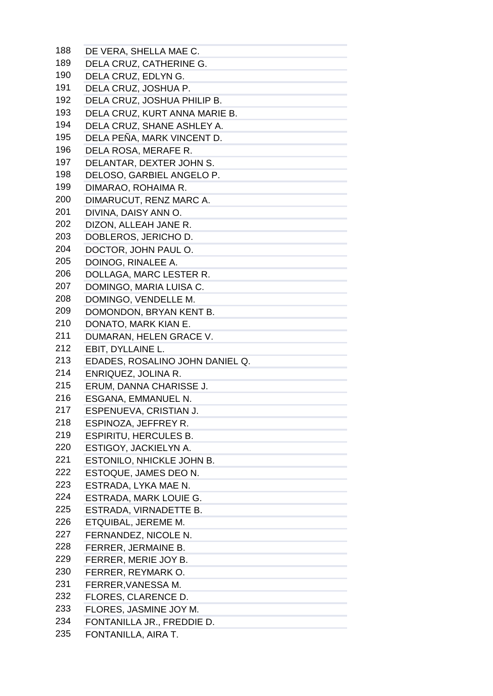| 188 | DE VERA, SHELLA MAE C.          |
|-----|---------------------------------|
| 189 | DELA CRUZ, CATHERINE G.         |
| 190 | DELA CRUZ, EDLYN G.             |
| 191 | DELA CRUZ, JOSHUA P.            |
| 192 | DELA CRUZ, JOSHUA PHILIP B.     |
| 193 | DELA CRUZ, KURT ANNA MARIE B.   |
| 194 | DELA CRUZ, SHANE ASHLEY A.      |
| 195 | DELA PEÑA, MARK VINCENT D.      |
| 196 | DELA ROSA, MERAFE R.            |
| 197 | DELANTAR, DEXTER JOHN S.        |
| 198 | DELOSO, GARBIEL ANGELO P.       |
| 199 | DIMARAO, ROHAIMA R.             |
| 200 | DIMARUCUT, RENZ MARC A.         |
| 201 | DIVINA, DAISY ANN O.            |
| 202 | DIZON, ALLEAH JANE R.           |
| 203 | DOBLEROS, JERICHO D.            |
| 204 | DOCTOR, JOHN PAUL O.            |
| 205 |                                 |
| 206 | DOINOG, RINALEE A.              |
| 207 | DOLLAGA, MARC LESTER R.         |
| 208 | DOMINGO, MARIA LUISA C.         |
|     | DOMINGO, VENDELLE M.            |
| 209 | DOMONDON, BRYAN KENT B.         |
| 210 | DONATO, MARK KIAN E.            |
| 211 | DUMARAN, HELEN GRACE V.         |
| 212 | EBIT, DYLLAINE L.               |
| 213 | EDADES, ROSALINO JOHN DANIEL Q. |
| 214 | ENRIQUEZ, JOLINA R.             |
| 215 | ERUM, DANNA CHARISSE J.         |
| 216 | ESGANA, EMMANUEL N.             |
| 217 | ESPENUEVA, CRISTIAN J.          |
| 218 | ESPINOZA, JEFFREY R.            |
| 219 | <b>ESPIRITU, HERCULES B.</b>    |
| 220 | ESTIGOY, JACKIELYN A.           |
| 221 | ESTONILO, NHICKLE JOHN B.       |
| 222 | ESTOQUE, JAMES DEO N.           |
| 223 | ESTRADA, LYKA MAE N.            |
| 224 | ESTRADA, MARK LOUIE G.          |
| 225 | ESTRADA, VIRNADETTE B.          |
| 226 | ETQUIBAL, JEREME M.             |
| 227 | FERNANDEZ, NICOLE N.            |
| 228 | FERRER, JERMAINE B.             |
| 229 | FERRER, MERIE JOY B.            |
| 230 | FERRER, REYMARK O.              |
| 231 | FERRER, VANESSA M.              |
| 232 | FLORES, CLARENCE D.             |
| 233 | FLORES, JASMINE JOY M.          |
| 234 | FONTANILLA JR., FREDDIE D.      |
| 235 | FONTANILLA, AIRA T.             |
|     |                                 |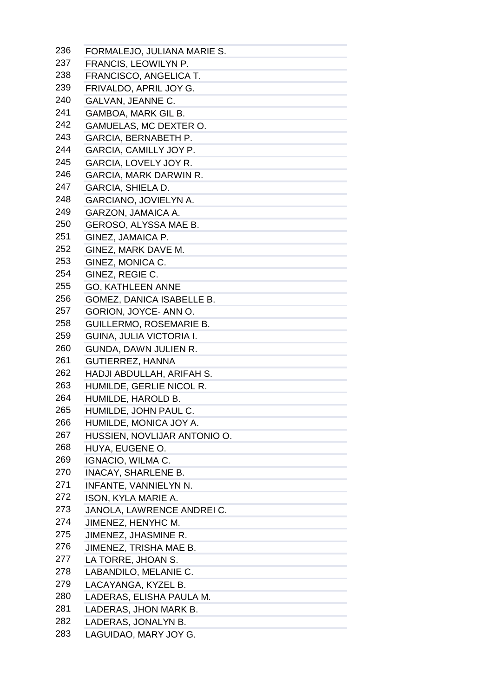| 236 | FORMALEJO, JULIANA MARIE S.                                            |
|-----|------------------------------------------------------------------------|
| 237 | FRANCIS, LEOWILYN P.                                                   |
| 238 | FRANCISCO, ANGELICA T.                                                 |
| 239 | FRIVALDO, APRIL JOY G.                                                 |
| 240 | GALVAN, JEANNE C.                                                      |
| 241 | GAMBOA, MARK GIL B.                                                    |
| 242 | GAMUELAS, MC DEXTER O.                                                 |
| 243 | GARCIA, BERNABETH P.                                                   |
| 244 | GARCIA, CAMILLY JOY P.                                                 |
| 245 | GARCIA, LOVELY JOY R.                                                  |
| 246 | GARCIA, MARK DARWIN R.                                                 |
| 247 | <b>GARCIA, SHIELA D.</b>                                               |
| 248 | GARCIANO, JOVIELYN A.                                                  |
| 249 | GARZON, JAMAICA A.                                                     |
| 250 | GEROSO, ALYSSA MAE B.                                                  |
| 251 | GINEZ, JAMAICA P.                                                      |
| 252 | GINEZ, MARK DAVE M.                                                    |
| 253 | GINEZ, MONICA C.                                                       |
| 254 | GINEZ, REGIE C.                                                        |
| 255 | <b>GO, KATHLEEN ANNE</b>                                               |
| 256 | GOMEZ, DANICA ISABELLE B.                                              |
| 257 | GORION, JOYCE- ANN O.                                                  |
| 258 | <b>GUILLERMO, ROSEMARIE B.</b>                                         |
| 259 | GUINA, JULIA VICTORIA I.                                               |
| 260 | GUNDA, DAWN JULIEN R.                                                  |
| 261 | <b>GUTIERREZ, HANNA</b>                                                |
| 262 | HADJI ABDULLAH, ARIFAH S.                                              |
| 263 | HUMILDE, GERLIE NICOL R.                                               |
| 264 | HUMILDE, HAROLD B.                                                     |
| 265 | HUMILDE, JOHN PAUL C.                                                  |
| 266 | HUMILDE, MONICA JOY A.                                                 |
| 267 | HUSSIEN, NOVLIJAR ANTONIO O.                                           |
| 268 | HUYA, EUGENE O.                                                        |
| 269 | <b>IGNACIO, WILMA C.</b>                                               |
| 270 | <b>INACAY, SHARLENE B.</b>                                             |
| 271 | INFANTE, VANNIELYN N.                                                  |
| 272 | ISON, KYLA MARIE A.                                                    |
| 273 | JANOLA, LAWRENCE ANDREI C.                                             |
| 274 | JIMENEZ, HENYHC M.                                                     |
| 275 | JIMENEZ, JHASMINE R.                                                   |
| 276 | JIMENEZ, TRISHA MAE B.                                                 |
| 277 |                                                                        |
| 278 | LA TORRE, JHOAN S.<br>and the control of the control of the control of |
| 279 | LABANDILO, MELANIE C.                                                  |
| 280 | LACAYANGA, KYZEL B.                                                    |
| 281 | LADERAS, ELISHA PAULA M.                                               |
| 282 | LADERAS, JHON MARK B.                                                  |
|     | LADERAS, JONALYN B.                                                    |
| 283 | LAGUIDAO, MARY JOY G.                                                  |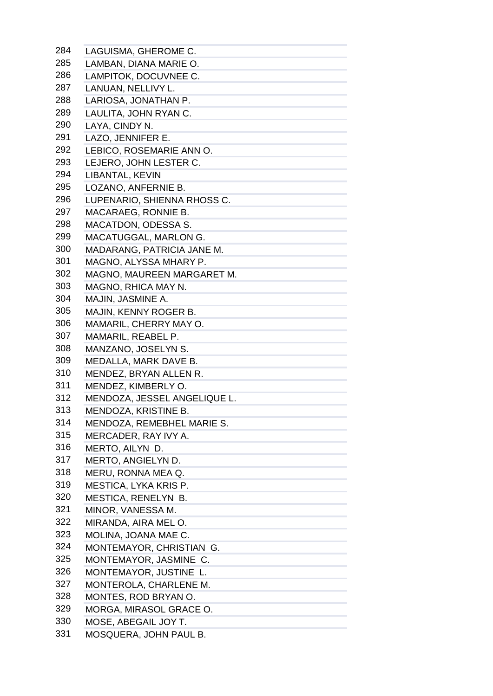| 284 | LAGUISMA, GHEROME C.         |
|-----|------------------------------|
| 285 | LAMBAN, DIANA MARIE O.       |
| 286 | LAMPITOK, DOCUVNEE C.        |
| 287 | LANUAN, NELLIVY L.           |
| 288 | LARIOSA, JONATHAN P.         |
| 289 | LAULITA, JOHN RYAN C.        |
| 290 | LAYA, CINDY N.               |
| 291 | LAZO, JENNIFER E.            |
| 292 | LEBICO, ROSEMARIE ANN O.     |
| 293 | LEJERO, JOHN LESTER C.       |
| 294 | LIBANTAL, KEVIN              |
| 295 | LOZANO, ANFERNIE B.          |
| 296 | LUPENARIO, SHIENNA RHOSS C.  |
| 297 | MACARAEG, RONNIE B.          |
| 298 | <b>MACATDON, ODESSA S.</b>   |
| 299 | MACATUGGAL, MARLON G.        |
| 300 | MADARANG, PATRICIA JANE M.   |
| 301 | MAGNO, ALYSSA MHARY P.       |
| 302 | MAGNO, MAUREEN MARGARET M.   |
| 303 | MAGNO, RHICA MAY N.          |
| 304 | MAJIN, JASMINE A.            |
| 305 | MAJIN, KENNY ROGER B.        |
| 306 | MAMARIL, CHERRY MAY O.       |
| 307 | MAMARIL, REABEL P.           |
| 308 | MANZANO, JOSELYN S.          |
| 309 | MEDALLA, MARK DAVE B.        |
| 310 | MENDEZ, BRYAN ALLEN R.       |
| 311 | MENDEZ, KIMBERLY O.          |
| 312 | MENDOZA, JESSEL ANGELIQUE L. |
| 313 | MENDOZA, KRISTINE B.         |
| 314 | MENDOZA, REMEBHEL MARIE S.   |
| 315 | MERCADER, RAY IVY A.         |
| 316 | MERTO, AILYN D.              |
| 317 | MERTO, ANGIELYN D.           |
| 318 | MERU, RONNA MEA Q.           |
| 319 | MESTICA, LYKA KRIS P.        |
| 320 | MESTICA, RENELYN B.          |
| 321 | MINOR, VANESSA M.            |
| 322 | MIRANDA, AIRA MEL O.         |
| 323 | MOLINA, JOANA MAE C.         |
| 324 | MONTEMAYOR, CHRISTIAN G.     |
| 325 | MONTEMAYOR, JASMINE C.       |
| 326 | MONTEMAYOR, JUSTINE L.       |
| 327 | MONTEROLA, CHARLENE M.       |
| 328 | MONTES, ROD BRYAN O.         |
| 329 | MORGA, MIRASOL GRACE O.      |
| 330 | MOSE, ABEGAIL JOY T.         |
| 331 | MOSQUERA, JOHN PAUL B.       |
|     |                              |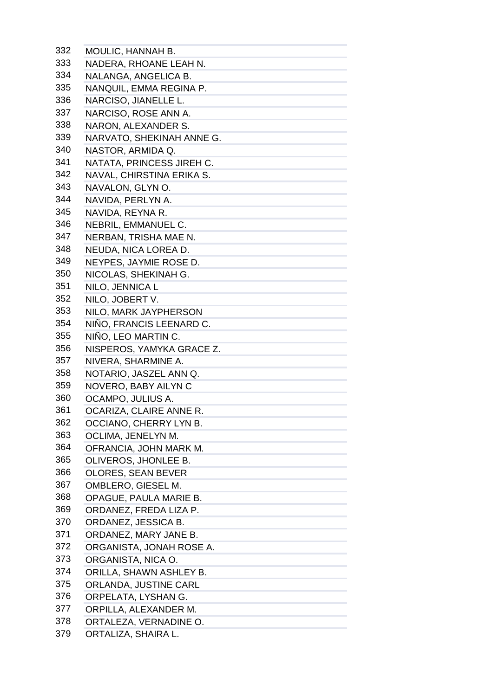| 332 | MOULIC, HANNAH B.                                                        |
|-----|--------------------------------------------------------------------------|
| 333 | NADERA, RHOANE LEAH N.                                                   |
| 334 | NALANGA, ANGELICA B.                                                     |
| 335 | NANQUIL, EMMA REGINA P.                                                  |
| 336 | NARCISO, JIANELLE L.                                                     |
| 337 | NARCISO, ROSE ANN A.                                                     |
| 338 | NARON, ALEXANDER S.                                                      |
| 339 | NARVATO, SHEKINAH ANNE G.                                                |
| 340 | NASTOR, ARMIDA Q.                                                        |
| 341 | NATATA, PRINCESS JIREH C.                                                |
| 342 | NAVAL, CHIRSTINA ERIKA S.                                                |
| 343 | NAVALON, GLYN O.                                                         |
| 344 | NAVIDA, PERLYN A.                                                        |
| 345 | NAVIDA, REYNA R.                                                         |
| 346 | NEBRIL, EMMANUEL C.                                                      |
| 347 | NERBAN, TRISHA MAE N.                                                    |
| 348 | NEUDA, NICA LOREA D.                                                     |
| 349 | NEYPES, JAYMIE ROSE D.                                                   |
| 350 | NICOLAS, SHEKINAH G.                                                     |
| 351 | NILO, JENNICA L                                                          |
| 352 |                                                                          |
| 353 | NILO, JOBERT V.                                                          |
|     | NILO, MARK JAYPHERSON                                                    |
| 354 | NIÑO, FRANCIS LEENARD C.                                                 |
| 355 | NIÑO, LEO MARTIN C.                                                      |
| 356 | NISPEROS, YAMYKA GRACE Z.                                                |
| 357 | NIVERA, SHARMINE A.                                                      |
| 358 | NOTARIO, JASZEL ANN Q.                                                   |
| 359 | NOVERO, BABY AILYN C                                                     |
| 360 | OCAMPO, JULIUS A.                                                        |
| 361 | OCARIZA, CLAIRE ANNE R.                                                  |
| 362 | OCCIANO, CHERRY LYN B.                                                   |
| 363 | OCLIMA, JENELYN M.                                                       |
| 364 | OFRANCIA, JOHN MARK M.                                                   |
| 365 | OLIVEROS, JHONLEE B.<br>the control of the control of the control of     |
| 366 | OLORES, SEAN BEVER                                                       |
| 367 | OMBLERO, GIESEL M.<br>the control of the control of the control of the   |
| 368 | OPAGUE, PAULA MARIE B.                                                   |
| 369 | ORDANEZ, FREDA LIZA P.<br>the control of the control of the control of   |
| 370 | ORDANEZ, JESSICA B.                                                      |
| 371 | ORDANEZ, MARY JANE B.                                                    |
| 372 | ORGANISTA, JONAH ROSE A.<br>the control of the control of the control of |
| 373 | ORGANISTA, NICA O.                                                       |
| 374 | ORILLA, SHAWN ASHLEY B.                                                  |
| 375 | ORLANDA, JUSTINE CARL                                                    |
| 376 | ORPELATA, LYSHAN G.                                                      |
| 377 | ORPILLA, ALEXANDER M.                                                    |
| 378 | ORTALEZA, VERNADINE O.                                                   |
| 379 | ORTALIZA, SHAIRA L.                                                      |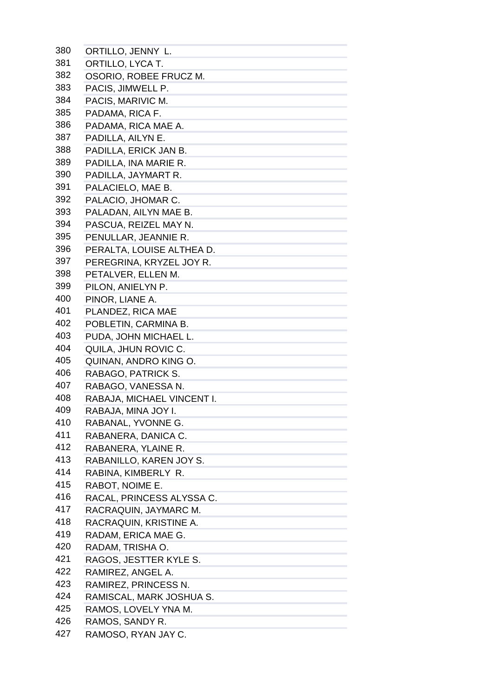| 380 | ORTILLO, JENNY L.          |
|-----|----------------------------|
| 381 | ORTILLO, LYCA T.           |
| 382 | OSORIO, ROBEE FRUCZ M.     |
| 383 | PACIS, JIMWELL P.          |
| 384 | PACIS, MARIVIC M.          |
| 385 | PADAMA, RICA F.            |
| 386 | PADAMA, RICA MAE A.        |
| 387 | PADILLA, AILYN E.          |
| 388 | PADILLA, ERICK JAN B.      |
| 389 | PADILLA, INA MARIE R.      |
| 390 | PADILLA, JAYMART R.        |
| 391 | PALACIELO, MAE B.          |
| 392 | PALACIO, JHOMAR C.         |
| 393 | PALADAN, AILYN MAE B.      |
| 394 | PASCUA, REIZEL MAY N.      |
| 395 | PENULLAR, JEANNIE R.       |
| 396 | PERALTA, LOUISE ALTHEA D.  |
| 397 | PEREGRINA, KRYZEL JOY R.   |
| 398 | PETALVER, ELLEN M.         |
| 399 | PILON, ANIELYN P.          |
| 400 | PINOR, LIANE A.            |
| 401 | PLANDEZ, RICA MAE          |
| 402 | POBLETIN, CARMINA B.       |
| 403 | PUDA, JOHN MICHAEL L.      |
| 404 | QUILA, JHUN ROVIC C.       |
| 405 | QUINAN, ANDRO KING O.      |
| 406 | RABAGO, PATRICK S.         |
| 407 | RABAGO, VANESSA N.         |
| 408 | RABAJA, MICHAEL VINCENT I. |
| 409 | RABAJA, MINA JOY I.        |
| 410 | RABANAL, YVONNE G.         |
| 411 | RABANERA, DANICA C.        |
| 412 | RABANERA, YLAINE R.        |
| 413 | RABANILLO, KAREN JOY S.    |
| 414 | RABINA, KIMBERLY R.        |
| 415 | RABOT, NOIME E.            |
| 416 | RACAL, PRINCESS ALYSSA C.  |
| 417 | RACRAQUIN, JAYMARC M.      |
| 418 | RACRAQUIN, KRISTINE A.     |
| 419 | RADAM, ERICA MAE G.        |
| 420 | RADAM, TRISHA O.           |
| 421 | RAGOS, JESTTER KYLE S.     |
| 422 | RAMIREZ, ANGEL A.          |
| 423 | RAMIREZ, PRINCESS N.       |
| 424 | RAMISCAL, MARK JOSHUA S.   |
| 425 | RAMOS, LOVELY YNA M.       |
| 426 | RAMOS, SANDY R.            |
| 427 | RAMOSO, RYAN JAY C.        |
|     |                            |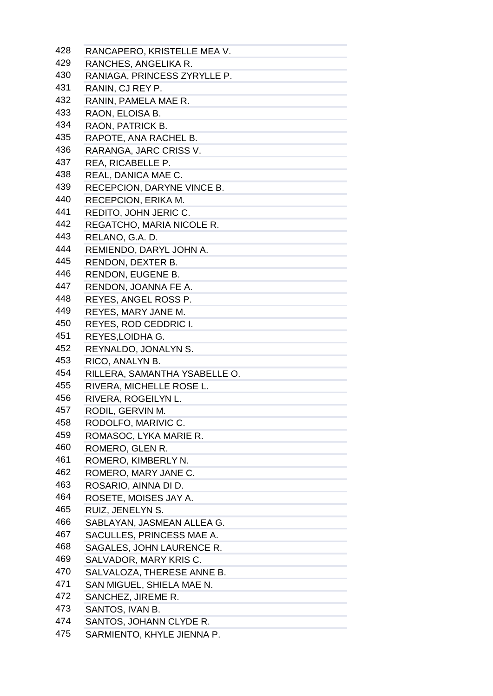| 428 | RANCAPERO, KRISTELLE MEA V.                                           |
|-----|-----------------------------------------------------------------------|
| 429 | RANCHES, ANGELIKA R.                                                  |
| 430 | RANIAGA, PRINCESS ZYRYLLE P.                                          |
| 431 | RANIN, CJ REY P.                                                      |
| 432 | RANIN, PAMELA MAE R.                                                  |
| 433 | RAON, ELOISA B.                                                       |
| 434 | RAON, PATRICK B.                                                      |
| 435 | RAPOTE, ANA RACHEL B.                                                 |
| 436 | RARANGA, JARC CRISS V.                                                |
| 437 | REA, RICABELLE P.                                                     |
| 438 | REAL, DANICA MAE C.                                                   |
| 439 | RECEPCION, DARYNE VINCE B.                                            |
| 440 | RECEPCION, ERIKA M.                                                   |
| 441 | REDITO, JOHN JERIC C.                                                 |
| 442 | REGATCHO, MARIA NICOLE R.                                             |
| 443 | RELANO, G.A. D.                                                       |
| 444 | REMIENDO, DARYL JOHN A.                                               |
| 445 | RENDON, DEXTER B.                                                     |
| 446 | RENDON, EUGENE B.                                                     |
| 447 | RENDON, JOANNA FE A.                                                  |
| 448 | REYES, ANGEL ROSS P.                                                  |
| 449 | REYES, MARY JANE M.                                                   |
| 450 | REYES, ROD CEDDRIC I.                                                 |
| 451 | REYES, LOIDHA G.                                                      |
| 452 | REYNALDO, JONALYN S.                                                  |
| 453 | RICO, ANALYN B.                                                       |
| 454 | RILLERA, SAMANTHA YSABELLE O.                                         |
| 455 | RIVERA, MICHELLE ROSE L.                                              |
| 456 | RIVERA, ROGEILYN L.                                                   |
| 457 | RODIL, GERVIN M.                                                      |
| 458 | RODOLFO, MARIVIC C.                                                   |
| 459 | ROMASOC, LYKA MARIE R.                                                |
| 460 |                                                                       |
| 461 | ROMERO, GLEN R.<br>ROMERO, KIMBERLY N.                                |
| 462 | ROMERO, MARY JANE C.                                                  |
| 463 |                                                                       |
| 464 | ROSARIO, AINNA DI D.<br>and the company of the company of the company |
| 465 | ROSETE, MOISES JAY A.<br>RUIZ, JENELYN S.                             |
| 466 |                                                                       |
| 467 | SABLAYAN, JASMEAN ALLEA G.                                            |
| 468 | SACULLES, PRINCESS MAE A.                                             |
| 469 | SAGALES, JOHN LAURENCE R.                                             |
| 470 | SALVADOR, MARY KRIS C.                                                |
| 471 | SALVALOZA, THERESE ANNE B.                                            |
| 472 | SAN MIGUEL, SHIELA MAE N.                                             |
|     | SANCHEZ, JIREME R.                                                    |
| 473 | SANTOS, IVAN B.                                                       |
| 474 | SANTOS, JOHANN CLYDE R.                                               |
| 475 | SARMIENTO, KHYLE JIENNA P.                                            |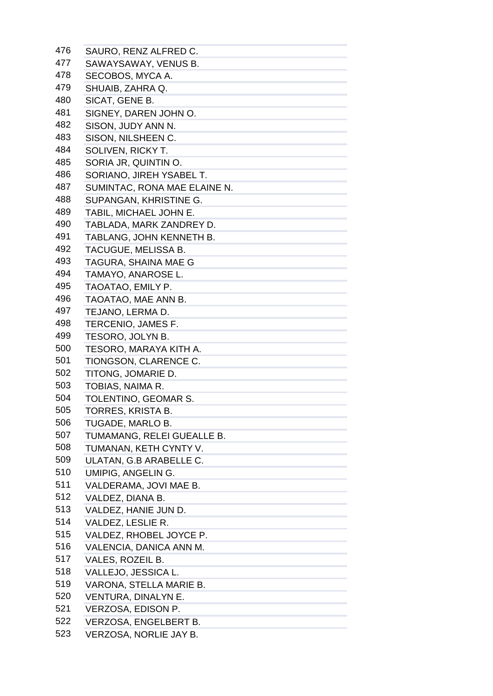| 476 | SAURO, RENZ ALFRED C.                                                       |
|-----|-----------------------------------------------------------------------------|
| 477 | SAWAYSAWAY, VENUS B.                                                        |
| 478 | SECOBOS, MYCA A.                                                            |
| 479 | SHUAIB, ZAHRA Q.                                                            |
| 480 | SICAT, GENE B.                                                              |
| 481 | SIGNEY, DAREN JOHN O.                                                       |
| 482 | SISON, JUDY ANN N.                                                          |
| 483 | SISON, NILSHEEN C.                                                          |
| 484 | SOLIVEN, RICKY T.                                                           |
| 485 | SORIA JR, QUINTIN O.                                                        |
| 486 | SORIANO, JIREH YSABEL T.                                                    |
| 487 | SUMINTAC, RONA MAE ELAINE N.                                                |
| 488 | SUPANGAN, KHRISTINE G.                                                      |
| 489 | TABIL, MICHAEL JOHN E.                                                      |
| 490 | TABLADA, MARK ZANDREY D.                                                    |
| 491 | TABLANG, JOHN KENNETH B.                                                    |
| 492 | TACUGUE, MELISSA B.                                                         |
| 493 | TAGURA, SHAINA MAE G                                                        |
| 494 | TAMAYO, ANAROSE L.                                                          |
| 495 | TAOATAO, EMILY P.                                                           |
| 496 | TAOATAO, MAE ANN B.                                                         |
| 497 | TEJANO, LERMA D.                                                            |
| 498 | TERCENIO, JAMES F.                                                          |
| 499 | TESORO, JOLYN B.                                                            |
| 500 | TESORO, MARAYA KITH A.                                                      |
| 501 |                                                                             |
| 502 | TIONGSON, CLARENCE C.                                                       |
| 503 | TITONG, JOMARIE D.                                                          |
|     | TOBIAS, NAIMA R.                                                            |
| 504 | TOLENTINO, GEOMAR S.                                                        |
| 505 | TORRES, KRISTA B.                                                           |
| 506 | TUGADE, MARLO B.                                                            |
| 507 | TUMAMANG, RELEI GUEALLE B.                                                  |
| 508 | TUMANAN, KETH CYNTY V.                                                      |
| 509 | ULATAN, G.B ARABELLE C.<br>and the control of the control of the control of |
| 510 | <b>UMIPIG, ANGELIN G.</b>                                                   |
| 511 | VALDERAMA, JOVI MAE B.                                                      |
| 512 | VALDEZ, DIANA B.                                                            |
| 513 | VALDEZ, HANIE JUN D.                                                        |
| 514 | VALDEZ, LESLIE R.                                                           |
| 515 | VALDEZ, RHOBEL JOYCE P.                                                     |
| 516 | VALENCIA, DANICA ANN M.                                                     |
| 517 | VALES, ROZEIL B.                                                            |
| 518 | VALLEJO, JESSICA L.                                                         |
| 519 | VARONA, STELLA MARIE B.                                                     |
| 520 | VENTURA, DINALYN E.                                                         |
| 521 | VERZOSA, EDISON P.                                                          |
| 522 | VERZOSA, ENGELBERT B.                                                       |
| 523 | VERZOSA, NORLIE JAY B.                                                      |